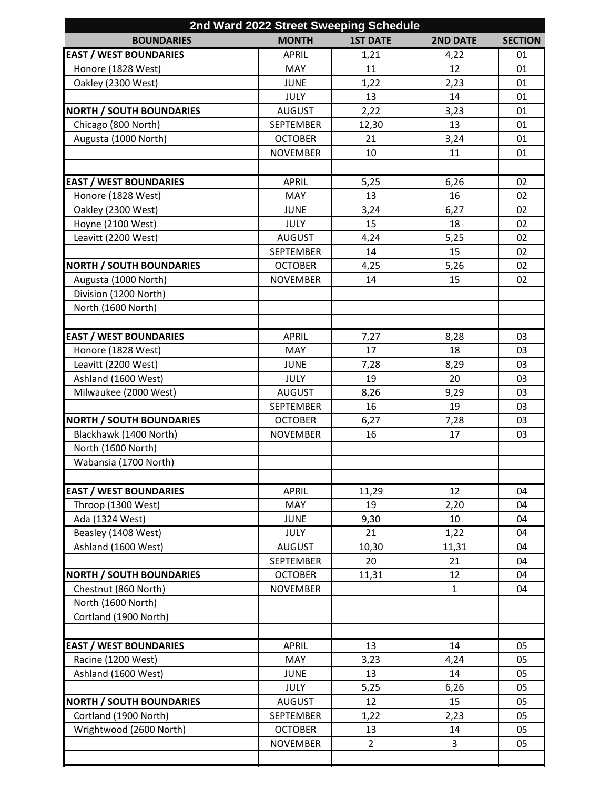| 2nd Ward 2022 Street Sweeping Schedule                   |                                   |                 |                 |                |  |  |  |
|----------------------------------------------------------|-----------------------------------|-----------------|-----------------|----------------|--|--|--|
| <b>BOUNDARIES</b>                                        | <b>MONTH</b>                      | <b>1ST DATE</b> | <b>2ND DATE</b> | <b>SECTION</b> |  |  |  |
| <b>EAST / WEST BOUNDARIES</b>                            | <b>APRIL</b>                      | 1,21            | 4,22            | 01             |  |  |  |
| Honore (1828 West)                                       | <b>MAY</b>                        | 11              | 12              | 01             |  |  |  |
| Oakley (2300 West)                                       | <b>JUNE</b>                       | 1,22            | 2,23            | 01             |  |  |  |
|                                                          | <b>JULY</b>                       | 13              | 14              | 01             |  |  |  |
| <b>NORTH / SOUTH BOUNDARIES</b>                          | <b>AUGUST</b>                     | 2,22            | 3,23            | 01             |  |  |  |
| Chicago (800 North)                                      | <b>SEPTEMBER</b>                  | 12,30           | 13              | 01             |  |  |  |
| Augusta (1000 North)                                     | <b>OCTOBER</b>                    | 21              | 3,24            | 01             |  |  |  |
|                                                          | <b>NOVEMBER</b>                   | 10              | 11              | 01             |  |  |  |
|                                                          |                                   |                 |                 |                |  |  |  |
| <b>EAST / WEST BOUNDARIES</b>                            | <b>APRIL</b>                      | 5,25            | 6,26            | 02             |  |  |  |
| Honore (1828 West)                                       | MAY                               | 13              | 16              | 02             |  |  |  |
| Oakley (2300 West)                                       | <b>JUNE</b>                       | 3,24            | 6,27            | 02             |  |  |  |
| Hoyne (2100 West)                                        | <b>JULY</b>                       | 15              | 18              | 02             |  |  |  |
| Leavitt (2200 West)                                      | <b>AUGUST</b>                     | 4,24            | 5,25            | 02             |  |  |  |
|                                                          | <b>SEPTEMBER</b>                  | 14              | 15              | 02             |  |  |  |
| <b>NORTH / SOUTH BOUNDARIES</b>                          | <b>OCTOBER</b>                    | 4,25            | 5,26            | 02             |  |  |  |
| Augusta (1000 North)                                     | <b>NOVEMBER</b>                   | 14              | 15              | 02             |  |  |  |
| Division (1200 North)                                    |                                   |                 |                 |                |  |  |  |
| North (1600 North)                                       |                                   |                 |                 |                |  |  |  |
|                                                          |                                   |                 |                 |                |  |  |  |
| <b>EAST / WEST BOUNDARIES</b>                            | <b>APRIL</b>                      | 7,27            | 8,28            | 03             |  |  |  |
| Honore (1828 West)                                       | MAY                               | 17              | 18              | 03             |  |  |  |
| Leavitt (2200 West)                                      | <b>JUNE</b>                       | 7,28            | 8,29            | 03             |  |  |  |
| Ashland (1600 West)                                      | <b>JULY</b>                       | 19              | 20              | 03             |  |  |  |
| Milwaukee (2000 West)                                    | <b>AUGUST</b>                     | 8,26            | 9,29            | 03             |  |  |  |
|                                                          | <b>SEPTEMBER</b>                  | 16              | 19              | 03             |  |  |  |
| <b>NORTH / SOUTH BOUNDARIES</b>                          | <b>OCTOBER</b>                    | 6,27            | 7,28            | 03             |  |  |  |
| Blackhawk (1400 North)                                   | <b>NOVEMBER</b>                   | 16              | 17              | 03             |  |  |  |
| North (1600 North)                                       |                                   |                 |                 |                |  |  |  |
| Wabansia (1700 North)                                    |                                   |                 |                 |                |  |  |  |
|                                                          |                                   |                 |                 |                |  |  |  |
| <b>EAST / WEST BOUNDARIES</b>                            | <b>APRIL</b>                      | 11,29           | 12              | 04             |  |  |  |
| Throop (1300 West)                                       | <b>MAY</b>                        | 19              | 2,20            | 04             |  |  |  |
| Ada (1324 West)                                          | <b>JUNE</b>                       | 9,30            | 10              | 04             |  |  |  |
| Beasley (1408 West)                                      | <b>JULY</b>                       | 21              | 1,22            | 04             |  |  |  |
| Ashland (1600 West)                                      | <b>AUGUST</b>                     | 10,30           | 11,31           | 04             |  |  |  |
|                                                          | <b>SEPTEMBER</b>                  | 20              | 21              | 04             |  |  |  |
| <b>NORTH / SOUTH BOUNDARIES</b>                          | <b>OCTOBER</b>                    | 11,31           | 12              | 04             |  |  |  |
| Chestnut (860 North)                                     | <b>NOVEMBER</b>                   |                 | $\mathbf{1}$    | 04             |  |  |  |
| North (1600 North)                                       |                                   |                 |                 |                |  |  |  |
| Cortland (1900 North)                                    |                                   |                 |                 |                |  |  |  |
|                                                          |                                   |                 |                 |                |  |  |  |
| <b>EAST / WEST BOUNDARIES</b>                            | APRIL                             | 13              | 14              | 05             |  |  |  |
| Racine (1200 West)                                       | MAY                               | 3,23            | 4,24            | 05             |  |  |  |
| Ashland (1600 West)                                      | <b>JUNE</b>                       | 13              | 14              | 05             |  |  |  |
|                                                          | JULY                              | 5,25            | 6,26            | 05             |  |  |  |
| <b>NORTH / SOUTH BOUNDARIES</b><br>Cortland (1900 North) | <b>AUGUST</b><br><b>SEPTEMBER</b> | 12<br>1,22      | 15<br>2,23      | 05<br>05       |  |  |  |
| Wrightwood (2600 North)                                  | <b>OCTOBER</b>                    | 13              | 14              | 05             |  |  |  |
|                                                          | <b>NOVEMBER</b>                   | $\overline{2}$  | 3               | 05             |  |  |  |
|                                                          |                                   |                 |                 |                |  |  |  |
|                                                          |                                   |                 |                 |                |  |  |  |